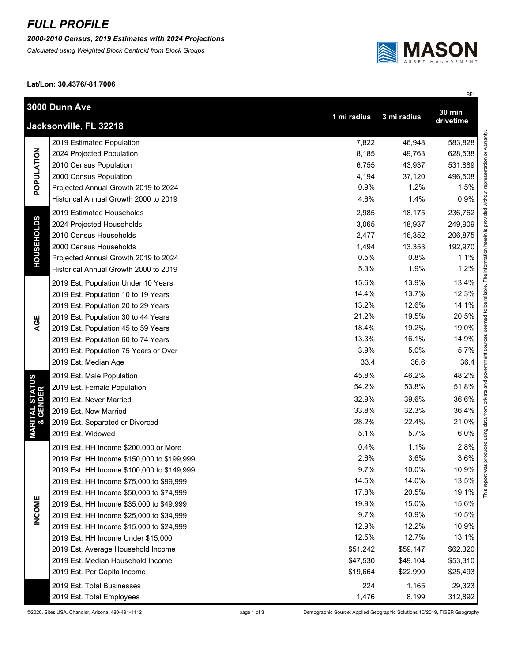## *FULL PROFILE*

*2000-2010 Census, 2019 Estimates with 2024 Projections*

*Calculated using Weighted Block Centroid from Block Groups*



RF1

This report was produced using data from private and government sources deemed to be reliable. The information herein is provided without representation or warranty.

**Lat/Lon: 30.4376/-81.7006**

|                                        | 3000 Dunn Ave                              | 1 mi radius | 3 mi radius | <b>30 min</b> |  |  |  |
|----------------------------------------|--------------------------------------------|-------------|-------------|---------------|--|--|--|
|                                        | drivetime<br>Jacksonville, FL 32218        |             |             |               |  |  |  |
| POPULATION                             | 2019 Estimated Population                  | 7,822       | 46,948      | 583,828       |  |  |  |
|                                        | 2024 Projected Population                  | 8,185       | 49,763      | 628,538       |  |  |  |
|                                        | 2010 Census Population                     | 6,755       | 43,937      | 531,889       |  |  |  |
|                                        | 2000 Census Population                     | 4,194       | 37,120      | 496,508       |  |  |  |
|                                        | Projected Annual Growth 2019 to 2024       | 0.9%        | 1.2%        | 1.5%          |  |  |  |
|                                        | Historical Annual Growth 2000 to 2019      | 4.6%        | 1.4%        | 0.9%          |  |  |  |
| <b>HOUSEHOLDS</b>                      | 2019 Estimated Households                  | 2,985       | 18,175      | 236,762       |  |  |  |
|                                        | 2024 Projected Households                  | 3,065       | 18,937      | 249,909       |  |  |  |
|                                        | 2010 Census Households                     | 2,477       | 16,352      | 206,875       |  |  |  |
|                                        | 2000 Census Households                     | 1,494       | 13,353      | 192,970       |  |  |  |
|                                        | Projected Annual Growth 2019 to 2024       | 0.5%        | 0.8%        | 1.1%          |  |  |  |
|                                        | Historical Annual Growth 2000 to 2019      | 5.3%        | 1.9%        | 1.2%          |  |  |  |
|                                        | 2019 Est. Population Under 10 Years        | 15.6%       | 13.9%       | 13.4%         |  |  |  |
|                                        | 2019 Est. Population 10 to 19 Years        | 14.4%       | 13.7%       | 12.3%         |  |  |  |
|                                        | 2019 Est. Population 20 to 29 Years        | 13.2%       | 12.6%       | 14.1%         |  |  |  |
|                                        | 2019 Est. Population 30 to 44 Years        | 21.2%       | 19.5%       | 20.5%         |  |  |  |
| AGE                                    | 2019 Est. Population 45 to 59 Years        | 18.4%       | 19.2%       | 19.0%         |  |  |  |
|                                        | 2019 Est. Population 60 to 74 Years        | 13.3%       | 16.1%       | 14.9%         |  |  |  |
|                                        | 2019 Est. Population 75 Years or Over      | 3.9%        | 5.0%        | 5.7%          |  |  |  |
|                                        | 2019 Est. Median Age                       | 33.4        | 36.6        | 36.4          |  |  |  |
| <b>MARITAL STATUS<br/>&amp; GENDER</b> | 2019 Est. Male Population                  | 45.8%       | 46.2%       | 48.2%         |  |  |  |
|                                        | 2019 Est. Female Population                | 54.2%       | 53.8%       | 51.8%         |  |  |  |
|                                        | 2019 Est. Never Married                    | 32.9%       | 39.6%       | 36.6%         |  |  |  |
|                                        | 2019 Est. Now Married                      | 33.8%       | 32.3%       | 36.4%         |  |  |  |
|                                        | 2019 Est. Separated or Divorced            | 28.2%       | 22.4%       | 21.0%         |  |  |  |
|                                        | 2019 Est. Widowed                          | 5.1%        | 5.7%        | 6.0%          |  |  |  |
|                                        | 2019 Est. HH Income \$200,000 or More      | 0.4%        | 1.1%        | 2.8%          |  |  |  |
|                                        | 2019 Est. HH Income \$150,000 to \$199,999 | 2.6%        | 3.6%        | 3.6%          |  |  |  |
|                                        | 2019 Est. HH Income \$100,000 to \$149,999 | 9.7%        | 10.0%       | 10.9%         |  |  |  |
|                                        | 2019 Est. HH Income \$75,000 to \$99,999   | 14.5%       | 14.0%       | 13.5%         |  |  |  |
|                                        | 2019 Est. HH Income \$50,000 to \$74,999   | 17.8%       | 20.5%       | This<br>19.1% |  |  |  |
|                                        | 2019 Est. HH Income \$35,000 to \$49,999   | 19.9%       | 15.0%       | 15.6%         |  |  |  |
| <b>INCOME</b>                          | 2019 Est. HH Income \$25,000 to \$34,999   | 9.7%        | 10.9%       | 10.5%         |  |  |  |
|                                        | 2019 Est. HH Income \$15,000 to \$24,999   | 12.9%       | 12.2%       | 10.9%         |  |  |  |
|                                        | 2019 Est. HH Income Under \$15,000         | 12.5%       | 12.7%       | 13.1%         |  |  |  |
|                                        | 2019 Est. Average Household Income         | \$51,242    | \$59,147    | \$62,320      |  |  |  |
|                                        | 2019 Est. Median Household Income          | \$47,530    | \$49,104    | \$53,310      |  |  |  |
|                                        | 2019 Est. Per Capita Income                | \$19,664    | \$22,990    | \$25,493      |  |  |  |
|                                        | 2019 Est. Total Businesses                 | 224         | 1,165       | 29,323        |  |  |  |
|                                        | 2019 Est. Total Employees                  | 1,476       | 8,199       | 312,892       |  |  |  |

©2020, Sites USA, Chandler, Arizona, 480-491-1112 page 1 of 3 Demographic Source: Applied Geographic Solutions 10/2019, TIGER Geography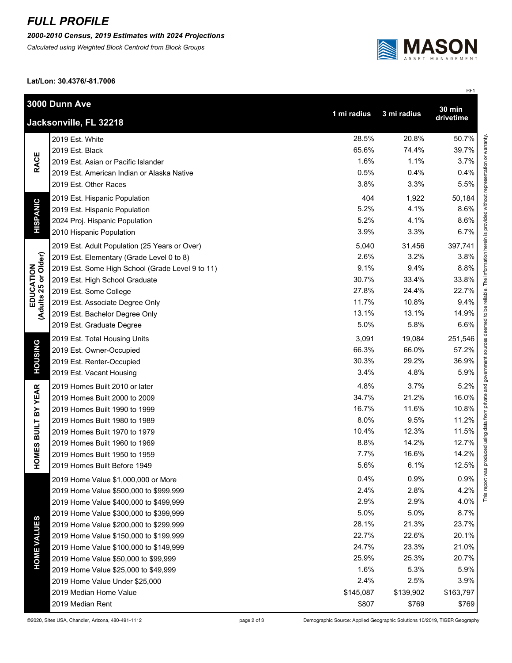## *FULL PROFILE*

*2000-2010 Census, 2019 Estimates with 2024 Projections*

*Calculated using Weighted Block Centroid from Block Groups*



RF1

**Lat/Lon: 30.4376/-81.7006**

| 3000 Dunn Ave                     |                                                                   |           |           | <b>30 min</b> |  |  |  |
|-----------------------------------|-------------------------------------------------------------------|-----------|-----------|---------------|--|--|--|
|                                   | 1 mi radius<br>3 mi radius<br>drivetime<br>Jacksonville, FL 32218 |           |           |               |  |  |  |
| <b>RACE</b>                       | 2019 Est. White                                                   | 28.5%     | 20.8%     | 50.7%         |  |  |  |
|                                   | 2019 Est. Black                                                   | 65.6%     | 74.4%     | 39.7%         |  |  |  |
|                                   | 2019 Est. Asian or Pacific Islander                               | 1.6%      | 1.1%      | 3.7%          |  |  |  |
|                                   | 2019 Est. American Indian or Alaska Native                        | 0.5%      | 0.4%      | 0.4%          |  |  |  |
|                                   | 2019 Est. Other Races                                             | 3.8%      | 3.3%      | 5.5%          |  |  |  |
| <b>HISPANIC</b>                   | 2019 Est. Hispanic Population                                     | 404       | 1,922     | 50,184        |  |  |  |
|                                   | 2019 Est. Hispanic Population                                     | 5.2%      | 4.1%      | 8.6%          |  |  |  |
|                                   | 2024 Proj. Hispanic Population                                    | 5.2%      | 4.1%      | 8.6%          |  |  |  |
|                                   | 2010 Hispanic Population                                          | 3.9%      | 3.3%      | 6.7%          |  |  |  |
|                                   | 2019 Est. Adult Population (25 Years or Over)                     | 5,040     | 31,456    | 397,741       |  |  |  |
|                                   | 2019 Est. Elementary (Grade Level 0 to 8)                         | 2.6%      | 3.2%      | 3.8%          |  |  |  |
| EDUCATION<br>(Adults 25 or Older) | 2019 Est. Some High School (Grade Level 9 to 11)                  | 9.1%      | 9.4%      | 8.8%          |  |  |  |
|                                   | 2019 Est. High School Graduate                                    | 30.7%     | 33.4%     | 33.8%         |  |  |  |
|                                   | 2019 Est. Some College                                            | 27.8%     | 24.4%     | 22.7%         |  |  |  |
|                                   | 2019 Est. Associate Degree Only                                   | 11.7%     | 10.8%     | 9.4%          |  |  |  |
|                                   | 2019 Est. Bachelor Degree Only                                    | 13.1%     | 13.1%     | 14.9%         |  |  |  |
|                                   | 2019 Est. Graduate Degree                                         | 5.0%      | 5.8%      | 6.6%          |  |  |  |
|                                   | 2019 Est. Total Housing Units                                     | 3,091     | 19,084    | 251,546       |  |  |  |
| <b>HOUSING</b>                    | 2019 Est. Owner-Occupied                                          | 66.3%     | 66.0%     | 57.2%         |  |  |  |
|                                   | 2019 Est. Renter-Occupied                                         | 30.3%     | 29.2%     | 36.9%         |  |  |  |
|                                   | 2019 Est. Vacant Housing                                          | 3.4%      | 4.8%      | 5.9%          |  |  |  |
|                                   | 2019 Homes Built 2010 or later                                    | 4.8%      | 3.7%      | 5.2%          |  |  |  |
|                                   | 2019 Homes Built 2000 to 2009                                     | 34.7%     | 21.2%     | 16.0%         |  |  |  |
|                                   | 2019 Homes Built 1990 to 1999                                     | 16.7%     | 11.6%     | 10.8%         |  |  |  |
|                                   | 2019 Homes Built 1980 to 1989                                     | 8.0%      | 9.5%      | 11.2%         |  |  |  |
|                                   | 2019 Homes Built 1970 to 1979                                     | 10.4%     | 12.3%     | 11.5%         |  |  |  |
|                                   | 2019 Homes Built 1960 to 1969                                     | 8.8%      | 14.2%     | 12.7%         |  |  |  |
| <b>HOMES BUILT BY YEAR</b>        | 2019 Homes Built 1950 to 1959                                     | 7.7%      | 16.6%     | 14.2%         |  |  |  |
|                                   | 2019 Homes Built Before 1949                                      | 5.6%      | 6.1%      | 12.5%         |  |  |  |
|                                   | 2019 Home Value \$1,000,000 or More                               | 0.4%      | 0.9%      | 0.9%          |  |  |  |
| <b>HOME VALUES</b>                | 2019 Home Value \$500,000 to \$999,999                            | 2.4%      | 2.8%      | 4.2%          |  |  |  |
|                                   | 2019 Home Value \$400,000 to \$499,999                            | 2.9%      | 2.9%      | 4.0%          |  |  |  |
|                                   | 2019 Home Value \$300,000 to \$399,999                            | 5.0%      | 5.0%      | 8.7%          |  |  |  |
|                                   | 2019 Home Value \$200,000 to \$299,999                            | 28.1%     | 21.3%     | 23.7%         |  |  |  |
|                                   | 2019 Home Value \$150,000 to \$199,999                            | 22.7%     | 22.6%     | 20.1%         |  |  |  |
|                                   | 2019 Home Value \$100,000 to \$149,999                            | 24.7%     | 23.3%     | 21.0%         |  |  |  |
|                                   | 2019 Home Value \$50,000 to \$99,999                              | 25.9%     | 25.3%     | 20.7%         |  |  |  |
|                                   | 2019 Home Value \$25,000 to \$49,999                              | 1.6%      | 5.3%      | 5.9%          |  |  |  |
|                                   | 2019 Home Value Under \$25,000                                    | 2.4%      | 2.5%      | 3.9%          |  |  |  |
|                                   | 2019 Median Home Value                                            | \$145,087 | \$139,902 | \$163,797     |  |  |  |
|                                   | 2019 Median Rent                                                  | \$807     | \$769     | \$769         |  |  |  |

©2020, Sites USA, Chandler, Arizona, 480-491-1112 page 2 of 3 Demographic Source: Applied Geographic Solutions 10/2019, TIGER Geography